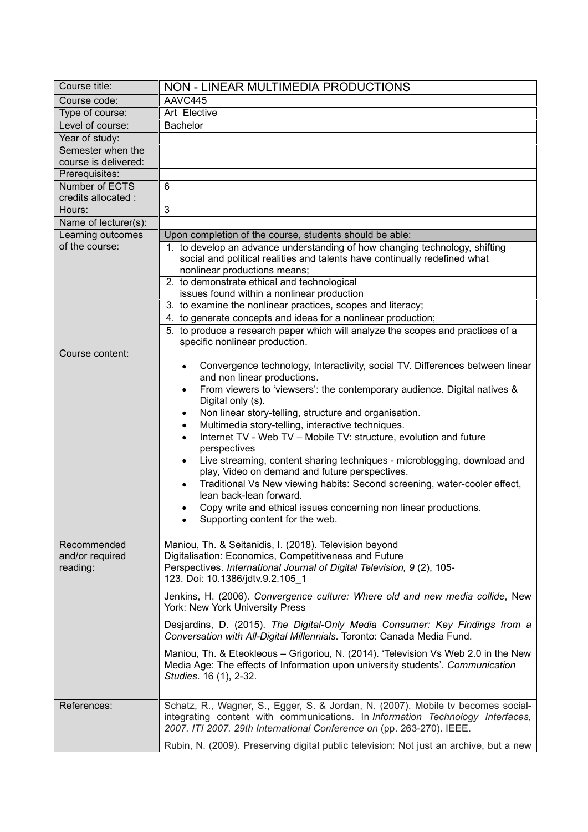| Course title:         | NON - LINEAR MULTIMEDIA PRODUCTIONS                                                                                                                                                                                                         |
|-----------------------|---------------------------------------------------------------------------------------------------------------------------------------------------------------------------------------------------------------------------------------------|
| Course code:          | AAVC445                                                                                                                                                                                                                                     |
| Type of course:       | Art Elective                                                                                                                                                                                                                                |
| Level of course:      | <b>Bachelor</b>                                                                                                                                                                                                                             |
| Year of study:        |                                                                                                                                                                                                                                             |
| Semester when the     |                                                                                                                                                                                                                                             |
| course is delivered:  |                                                                                                                                                                                                                                             |
| Prerequisites:        |                                                                                                                                                                                                                                             |
| <b>Number of ECTS</b> | 6                                                                                                                                                                                                                                           |
| credits allocated :   |                                                                                                                                                                                                                                             |
| Hours:                | 3                                                                                                                                                                                                                                           |
| Name of lecturer(s):  |                                                                                                                                                                                                                                             |
| Learning outcomes     | Upon completion of the course, students should be able:                                                                                                                                                                                     |
| of the course:        | 1. to develop an advance understanding of how changing technology, shifting                                                                                                                                                                 |
|                       | social and political realities and talents have continually redefined what<br>nonlinear productions means;                                                                                                                                  |
|                       | 2. to demonstrate ethical and technological                                                                                                                                                                                                 |
|                       | issues found within a nonlinear production                                                                                                                                                                                                  |
|                       | 3. to examine the nonlinear practices, scopes and literacy;                                                                                                                                                                                 |
|                       | 4. to generate concepts and ideas for a nonlinear production;                                                                                                                                                                               |
|                       | 5. to produce a research paper which will analyze the scopes and practices of a                                                                                                                                                             |
|                       | specific nonlinear production.                                                                                                                                                                                                              |
| Course content:       | Convergence technology, Interactivity, social TV. Differences between linear<br>$\bullet$                                                                                                                                                   |
|                       | and non linear productions.                                                                                                                                                                                                                 |
|                       | From viewers to 'viewsers': the contemporary audience. Digital natives &<br>$\bullet$                                                                                                                                                       |
|                       | Digital only (s).                                                                                                                                                                                                                           |
|                       | Non linear story-telling, structure and organisation.<br>$\bullet$                                                                                                                                                                          |
|                       | Multimedia story-telling, interactive techniques.<br>$\bullet$                                                                                                                                                                              |
|                       | Internet TV - Web TV - Mobile TV: structure, evolution and future<br>$\bullet$                                                                                                                                                              |
|                       | perspectives<br>Live streaming, content sharing techniques - microblogging, download and<br>$\bullet$                                                                                                                                       |
|                       | play, Video on demand and future perspectives.                                                                                                                                                                                              |
|                       | Traditional Vs New viewing habits: Second screening, water-cooler effect,<br>$\bullet$                                                                                                                                                      |
|                       | lean back-lean forward.                                                                                                                                                                                                                     |
|                       | Copy write and ethical issues concerning non linear productions.                                                                                                                                                                            |
|                       | Supporting content for the web.                                                                                                                                                                                                             |
|                       |                                                                                                                                                                                                                                             |
| Recommended           | Maniou, Th. & Seitanidis, I. (2018). Television beyond                                                                                                                                                                                      |
| and/or required       | Digitalisation: Economics, Competitiveness and Future                                                                                                                                                                                       |
| reading:              | Perspectives. International Journal of Digital Television, 9 (2), 105-                                                                                                                                                                      |
|                       | 123. Doi: 10.1386/jdtv.9.2.105_1                                                                                                                                                                                                            |
|                       | Jenkins, H. (2006). Convergence culture: Where old and new media collide, New<br>York: New York University Press                                                                                                                            |
|                       | Desjardins, D. (2015). The Digital-Only Media Consumer: Key Findings from a<br>Conversation with All-Digital Millennials. Toronto: Canada Media Fund.                                                                                       |
|                       | Maniou, Th. & Eteokleous - Grigoriou, N. (2014). 'Television Vs Web 2.0 in the New                                                                                                                                                          |
|                       | Media Age: The effects of Information upon university students'. Communication<br>Studies. 16 (1), 2-32.                                                                                                                                    |
|                       |                                                                                                                                                                                                                                             |
| References:           | Schatz, R., Wagner, S., Egger, S. & Jordan, N. (2007). Mobile tv becomes social-<br>integrating content with communications. In Information Technology Interfaces,<br>2007. ITI 2007. 29th International Conference on (pp. 263-270). IEEE. |
|                       | Rubin, N. (2009). Preserving digital public television: Not just an archive, but a new                                                                                                                                                      |